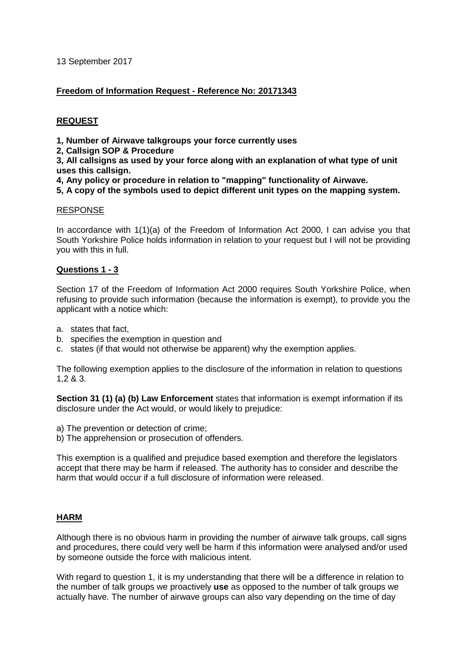13 September 2017

#### **Freedom of Information Request - Reference No: 20171343**

#### **REQUEST**

**1, Number of Airwave talkgroups your force currently uses**

**2, Callsign SOP & Procedure**

**3, All callsigns as used by your force along with an explanation of what type of unit uses this callsign.**

**4, Any policy or procedure in relation to "mapping" functionality of Airwave.**

#### **5, A copy of the symbols used to depict different unit types on the mapping system.**

#### RESPONSE

In accordance with 1(1)(a) of the Freedom of Information Act 2000, I can advise you that South Yorkshire Police holds information in relation to your request but I will not be providing you with this in full.

#### **Questions 1 - 3**

Section 17 of the Freedom of Information Act 2000 requires South Yorkshire Police, when refusing to provide such information (because the information is exempt), to provide you the applicant with a notice which:

- a. states that fact,
- b. specifies the exemption in question and
- c. states (if that would not otherwise be apparent) why the exemption applies.

The following exemption applies to the disclosure of the information in relation to questions 1,2 & 3.

**Section 31 (1) (a) (b) Law Enforcement** states that information is exempt information if its disclosure under the Act would, or would likely to prejudice:

- a) The prevention or detection of crime;
- b) The apprehension or prosecution of offenders.

This exemption is a qualified and prejudice based exemption and therefore the legislators accept that there may be harm if released. The authority has to consider and describe the harm that would occur if a full disclosure of information were released.

# **HARM**

Although there is no obvious harm in providing the number of airwave talk groups, call signs and procedures, there could very well be harm if this information were analysed and/or used by someone outside the force with malicious intent.

With regard to question 1, it is my understanding that there will be a difference in relation to the number of talk groups we proactively **use** as opposed to the number of talk groups we actually have. The number of airwave groups can also vary depending on the time of day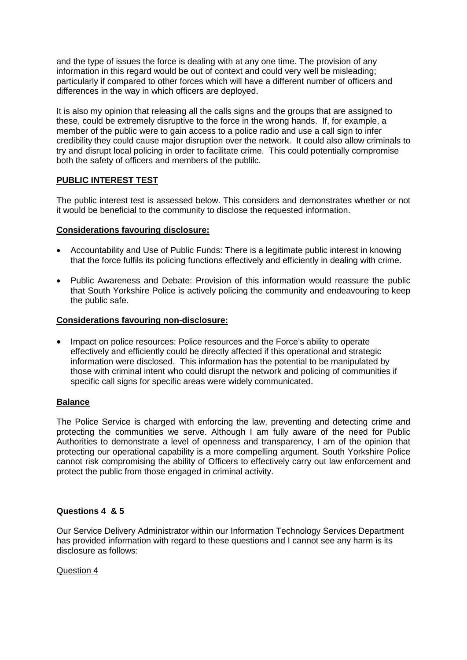and the type of issues the force is dealing with at any one time. The provision of any information in this regard would be out of context and could very well be misleading; particularly if compared to other forces which will have a different number of officers and differences in the way in which officers are deployed.

It is also my opinion that releasing all the calls signs and the groups that are assigned to these, could be extremely disruptive to the force in the wrong hands. If, for example, a member of the public were to gain access to a police radio and use a call sign to infer credibility they could cause major disruption over the network. It could also allow criminals to try and disrupt local policing in order to facilitate crime. This could potentially compromise both the safety of officers and members of the publilc.

# **PUBLIC INTEREST TEST**

The public interest test is assessed below. This considers and demonstrates whether or not it would be beneficial to the community to disclose the requested information.

# **Considerations favouring disclosure:**

- Accountability and Use of Public Funds: There is a legitimate public interest in knowing that the force fulfils its policing functions effectively and efficiently in dealing with crime.
- Public Awareness and Debate: Provision of this information would reassure the public that South Yorkshire Police is actively policing the community and endeavouring to keep the public safe.

# **Considerations favouring non-disclosure:**

• Impact on police resources: Police resources and the Force's ability to operate effectively and efficiently could be directly affected if this operational and strategic information were disclosed. This information has the potential to be manipulated by those with criminal intent who could disrupt the network and policing of communities if specific call signs for specific areas were widely communicated.

# **Balance**

The Police Service is charged with enforcing the law, preventing and detecting crime and protecting the communities we serve. Although I am fully aware of the need for Public Authorities to demonstrate a level of openness and transparency, I am of the opinion that protecting our operational capability is a more compelling argument. South Yorkshire Police cannot risk compromising the ability of Officers to effectively carry out law enforcement and protect the public from those engaged in criminal activity.

# **Questions 4 & 5**

Our Service Delivery Administrator within our Information Technology Services Department has provided information with regard to these questions and I cannot see any harm is its disclosure as follows:

#### Question 4